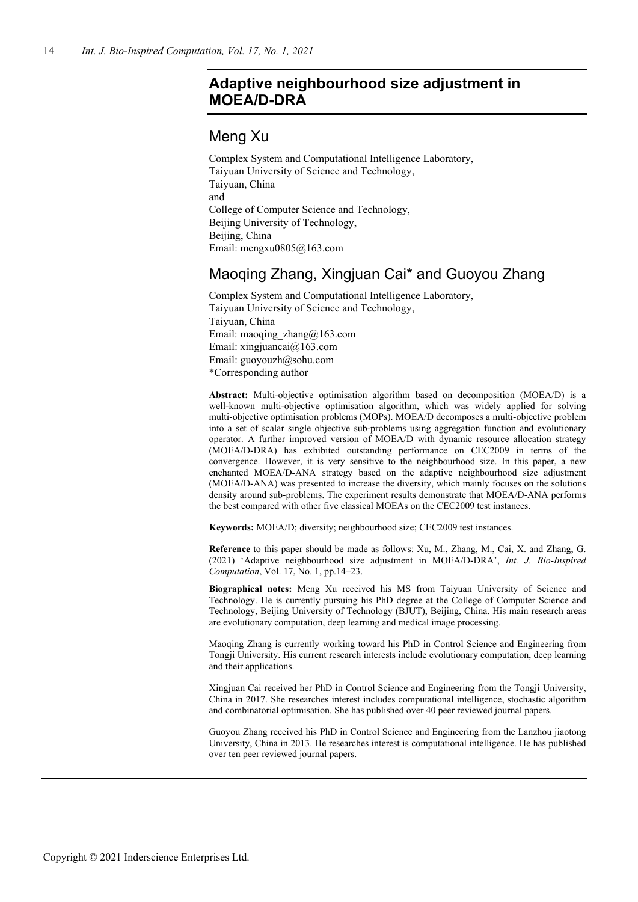# **Adaptive neighbourhood size adjustment in MOEA/D-DRA**

# Meng Xu

Complex System and Computational Intelligence Laboratory, Taiyuan University of Science and Technology, Taiyuan, China and College of Computer Science and Technology, Beijing University of Technology, Beijing, China Email: mengxu0805@163.com

# Maoqing Zhang, Xingjuan Cai\* and Guoyou Zhang

Complex System and Computational Intelligence Laboratory, Taiyuan University of Science and Technology, Taiyuan, China Email: maoqing\_zhang@163.com Email: xingjuancai@163.com Email: guoyouzh@sohu.com \*Corresponding author

**Abstract:** Multi-objective optimisation algorithm based on decomposition (MOEA/D) is a well-known multi-objective optimisation algorithm, which was widely applied for solving multi-objective optimisation problems (MOPs). MOEA/D decomposes a multi-objective problem into a set of scalar single objective sub-problems using aggregation function and evolutionary operator. A further improved version of MOEA/D with dynamic resource allocation strategy (MOEA/D-DRA) has exhibited outstanding performance on CEC2009 in terms of the convergence. However, it is very sensitive to the neighbourhood size. In this paper, a new enchanted MOEA/D-ANA strategy based on the adaptive neighbourhood size adjustment (MOEA/D-ANA) was presented to increase the diversity, which mainly focuses on the solutions density around sub-problems. The experiment results demonstrate that MOEA/D-ANA performs the best compared with other five classical MOEAs on the CEC2009 test instances.

**Keywords:** MOEA/D; diversity; neighbourhood size; CEC2009 test instances.

**Reference** to this paper should be made as follows: Xu, M., Zhang, M., Cai, X. and Zhang, G. (2021) 'Adaptive neighbourhood size adjustment in MOEA/D-DRA', *Int. J. Bio-Inspired Computation*, Vol. 17, No. 1, pp.14–23.

**Biographical notes:** Meng Xu received his MS from Taiyuan University of Science and Technology. He is currently pursuing his PhD degree at the College of Computer Science and Technology, Beijing University of Technology (BJUT), Beijing, China. His main research areas are evolutionary computation, deep learning and medical image processing.

Maoqing Zhang is currently working toward his PhD in Control Science and Engineering from Tongji University. His current research interests include evolutionary computation, deep learning and their applications.

Xingjuan Cai received her PhD in Control Science and Engineering from the Tongji University, China in 2017. She researches interest includes computational intelligence, stochastic algorithm and combinatorial optimisation. She has published over 40 peer reviewed journal papers.

Guoyou Zhang received his PhD in Control Science and Engineering from the Lanzhou jiaotong University, China in 2013. He researches interest is computational intelligence. He has published over ten peer reviewed journal papers.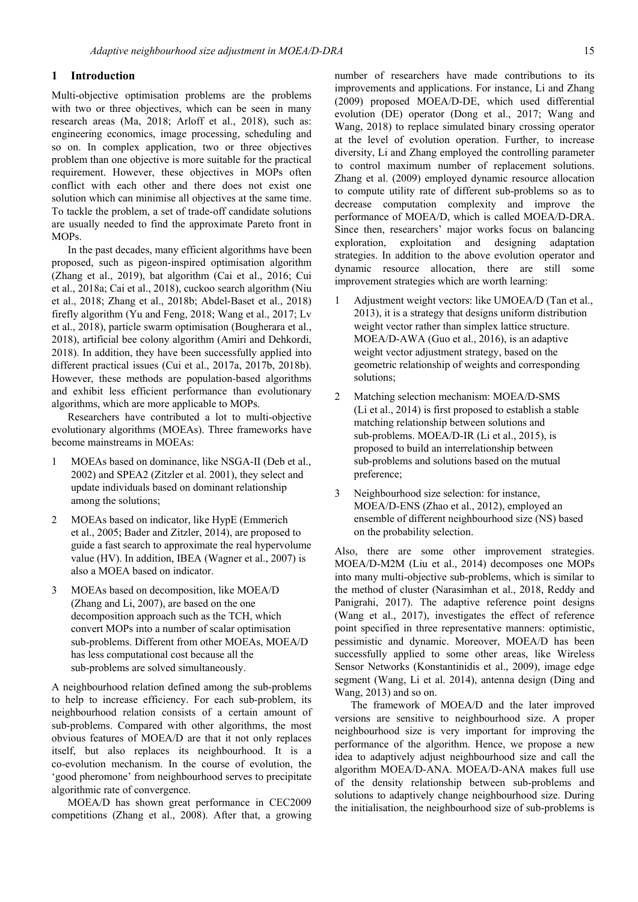# **1 Introduction**

Multi-objective optimisation problems are the problems with two or three objectives, which can be seen in many research areas (Ma, 2018; Arloff et al., 2018), such as: engineering economics, image processing, scheduling and so on. In complex application, two or three objectives problem than one objective is more suitable for the practical requirement. However, these objectives in MOPs often conflict with each other and there does not exist one solution which can minimise all objectives at the same time. To tackle the problem, a set of trade-off candidate solutions are usually needed to find the approximate Pareto front in MOPs.

In the past decades, many efficient algorithms have been proposed, such as pigeon-inspired optimisation algorithm (Zhang et al., 2019), bat algorithm (Cai et al., 2016; Cui et al., 2018a; Cai et al., 2018), cuckoo search algorithm (Niu et al., 2018; Zhang et al., 2018b; Abdel-Baset et al., 2018) firefly algorithm (Yu and Feng, 2018; Wang et al., 2017; Lv et al., 2018), particle swarm optimisation (Bougherara et al., 2018), artificial bee colony algorithm (Amiri and Dehkordi, 2018). In addition, they have been successfully applied into different practical issues (Cui et al., 2017a, 2017b, 2018b). However, these methods are population-based algorithms and exhibit less efficient performance than evolutionary algorithms, which are more applicable to MOPs.

Researchers have contributed a lot to multi-objective evolutionary algorithms (MOEAs). Three frameworks have become mainstreams in MOEAs:

- 1 MOEAs based on dominance, like NSGA-II (Deb et al., 2002) and SPEA2 (Zitzler et al. 2001), they select and update individuals based on dominant relationship among the solutions;
- 2 MOEAs based on indicator, like HypE (Emmerich et al., 2005; Bader and Zitzler, 2014), are proposed to guide a fast search to approximate the real hypervolume value (HV). In addition, IBEA (Wagner et al., 2007) is also a MOEA based on indicator.
- 3 MOEAs based on decomposition, like MOEA/D (Zhang and Li, 2007), are based on the one decomposition approach such as the TCH, which convert MOPs into a number of scalar optimisation sub-problems. Different from other MOEAs, MOEA/D has less computational cost because all the sub-problems are solved simultaneously.

A neighbourhood relation defined among the sub-problems to help to increase efficiency. For each sub-problem, its neighbourhood relation consists of a certain amount of sub-problems. Compared with other algorithms, the most obvious features of MOEA/D are that it not only replaces itself, but also replaces its neighbourhood. It is a co-evolution mechanism. In the course of evolution, the 'good pheromone' from neighbourhood serves to precipitate algorithmic rate of convergence.

MOEA/D has shown great performance in CEC2009 competitions (Zhang et al., 2008). After that, a growing number of researchers have made contributions to its improvements and applications. For instance, Li and Zhang (2009) proposed MOEA/D-DE, which used differential evolution (DE) operator (Dong et al., 2017; Wang and Wang, 2018) to replace simulated binary crossing operator at the level of evolution operation. Further, to increase diversity, Li and Zhang employed the controlling parameter to control maximum number of replacement solutions. Zhang et al. (2009) employed dynamic resource allocation to compute utility rate of different sub-problems so as to decrease computation complexity and improve the performance of MOEA/D, which is called MOEA/D-DRA. Since then, researchers' major works focus on balancing exploration, exploitation and designing adaptation strategies. In addition to the above evolution operator and dynamic resource allocation, there are still some improvement strategies which are worth learning:

- Adjustment weight vectors: like UMOEA/D (Tan et al., 2013), it is a strategy that designs uniform distribution weight vector rather than simplex lattice structure. MOEA/D-AWA (Guo et al., 2016), is an adaptive weight vector adjustment strategy, based on the geometric relationship of weights and corresponding solutions;
- 2 Matching selection mechanism: MOEA/D-SMS (Li et al., 2014) is first proposed to establish a stable matching relationship between solutions and sub-problems. MOEA/D-IR (Li et al., 2015), is proposed to build an interrelationship between sub-problems and solutions based on the mutual preference;
- 3 Neighbourhood size selection: for instance, MOEA/D-ENS (Zhao et al., 2012), employed an ensemble of different neighbourhood size (NS) based on the probability selection.

Also, there are some other improvement strategies. MOEA/D-M2M (Liu et al., 2014) decomposes one MOPs into many multi-objective sub-problems, which is similar to the method of cluster (Narasimhan et al., 2018, Reddy and Panigrahi, 2017). The adaptive reference point designs (Wang et al., 2017), investigates the effect of reference point specified in three representative manners: optimistic, pessimistic and dynamic. Moreover, MOEA/D has been successfully applied to some other areas, like Wireless Sensor Networks (Konstantinidis et al., 2009), image edge segment (Wang, Li et al. 2014), antenna design (Ding and Wang, 2013) and so on.

The framework of MOEA/D and the later improved versions are sensitive to neighbourhood size. A proper neighbourhood size is very important for improving the performance of the algorithm. Hence, we propose a new idea to adaptively adjust neighbourhood size and call the algorithm MOEA/D-ANA. MOEA/D-ANA makes full use of the density relationship between sub-problems and solutions to adaptively change neighbourhood size. During the initialisation, the neighbourhood size of sub-problems is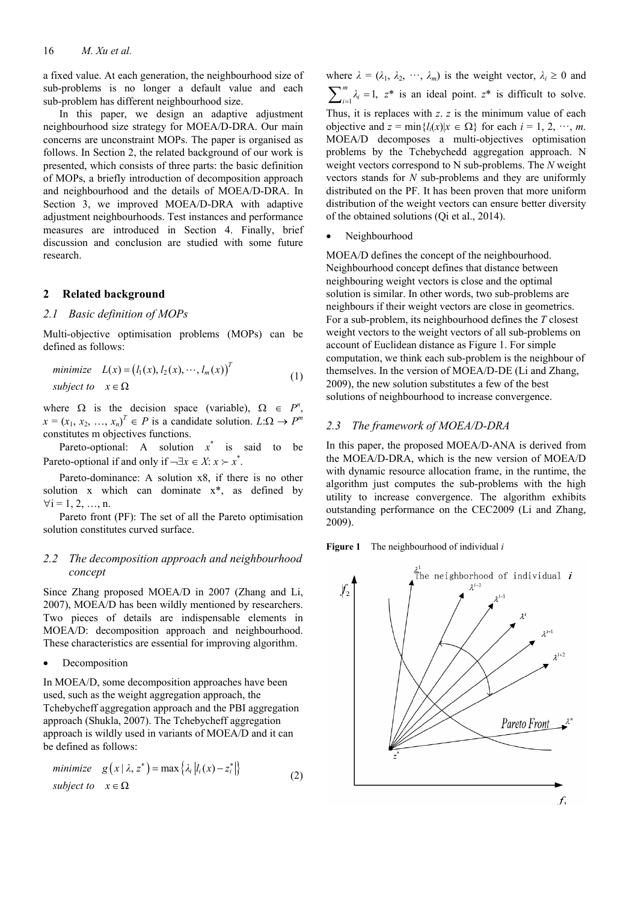a fixed value. At each generation, the neighbourhood size of sub-problems is no longer a default value and each sub-problem has different neighbourhood size.

In this paper, we design an adaptive adjustment neighbourhood size strategy for MOEA/D-DRA. Our main concerns are unconstraint MOPs. The paper is organised as follows. In Section 2, the related background of our work is presented, which consists of three parts: the basic definition of MOPs, a briefly introduction of decomposition approach and neighbourhood and the details of MOEA/D-DRA. In Section 3, we improved MOEA/D-DRA with adaptive adjustment neighbourhoods. Test instances and performance measures are introduced in Section 4. Finally, brief discussion and conclusion are studied with some future research.

## **2 Related background**

## *2.1 Basic definition of MOPs*

Multi-objective optimisation problems (MOPs) can be defined as follows:

minimize 
$$
L(x) = (l_1(x), l_2(x), \dots, l_m(x))^T
$$
  
subject to  $x \in \Omega$  (1)

where  $\Omega$  is the decision space (variable),  $\Omega \in P^n$ ,  $x = (x_1, x_2, ..., x_n)^T \in P$  is a candidate solution.  $L: \Omega \to P^m$ constitutes m objectives functions.

Pareto-optional: A solution  $x^*$  is said to be Pareto-optional if and only if  $\neg \exists x \in X: x \succ x^*$ .

Pareto-dominance: A solution x8, if there is no other solution x which can dominate x\*, as defined by  $\forall i = 1, 2, ..., n$ .

Pareto front (PF): The set of all the Pareto optimisation solution constitutes curved surface.

# *2.2 The decomposition approach and neighbourhood concept*

Since Zhang proposed MOEA/D in 2007 (Zhang and Li, 2007), MOEA/D has been wildly mentioned by researchers. Two pieces of details are indispensable elements in MOEA/D: decomposition approach and neighbourhood. These characteristics are essential for improving algorithm.

• Decomposition

In MOEA/D, some decomposition approaches have been used, such as the weight aggregation approach, the Tchebycheff aggregation approach and the PBI aggregation approach (Shukla, 2007). The Tchebycheff aggregation approach is wildly used in variants of MOEA/D and it can be defined as follows:

minimize 
$$
g(x | \lambda, z^*) = \max\{\lambda_i |l_i(x) - z_i^*\}
$$
  
subject to  $x \in \Omega$  (2)

where  $\lambda = (\lambda_1, \lambda_2, \dots, \lambda_m)$  is the weight vector,  $\lambda_i \geq 0$  and  $\sum_{i=1}^{m} \lambda_i = 1$ ,  $z^*$  is an ideal point.  $z^*$  is difficult to solve. Thus, it is replaces with *z*. *z* is the minimum value of each objective and  $z = \min\{l_i(x)|x \in \Omega\}$  for each  $i = 1, 2, \dots, m$ . MOEA/D decomposes a multi-objectives optimisation problems by the Tchebychedd aggregation approach. N weight vectors correspond to N sub-problems. The *N* weight vectors stands for *N* sub-problems and they are uniformly distributed on the PF. It has been proven that more uniform distribution of the weight vectors can ensure better diversity of the obtained solutions (Qi et al., 2014).

Neighbourhood

MOEA/D defines the concept of the neighbourhood. Neighbourhood concept defines that distance between neighbouring weight vectors is close and the optimal solution is similar. In other words, two sub-problems are neighbours if their weight vectors are close in geometrics. For a sub-problem, its neighbourhood defines the *T* closest weight vectors to the weight vectors of all sub-problems on account of Euclidean distance as Figure 1. For simple computation, we think each sub-problem is the neighbour of themselves. In the version of MOEA/D-DE (Li and Zhang, 2009), the new solution substitutes a few of the best solutions of neighbourhood to increase convergence.

## *2.3 The framework of MOEA/D-DRA*

In this paper, the proposed MOEA/D-ANA is derived from the MOEA/D-DRA, which is the new version of MOEA/D with dynamic resource allocation frame, in the runtime, the algorithm just computes the sub-problems with the high utility to increase convergence. The algorithm exhibits outstanding performance on the CEC2009 (Li and Zhang, 2009).

**Figure 1** The neighbourhood of individual *i*

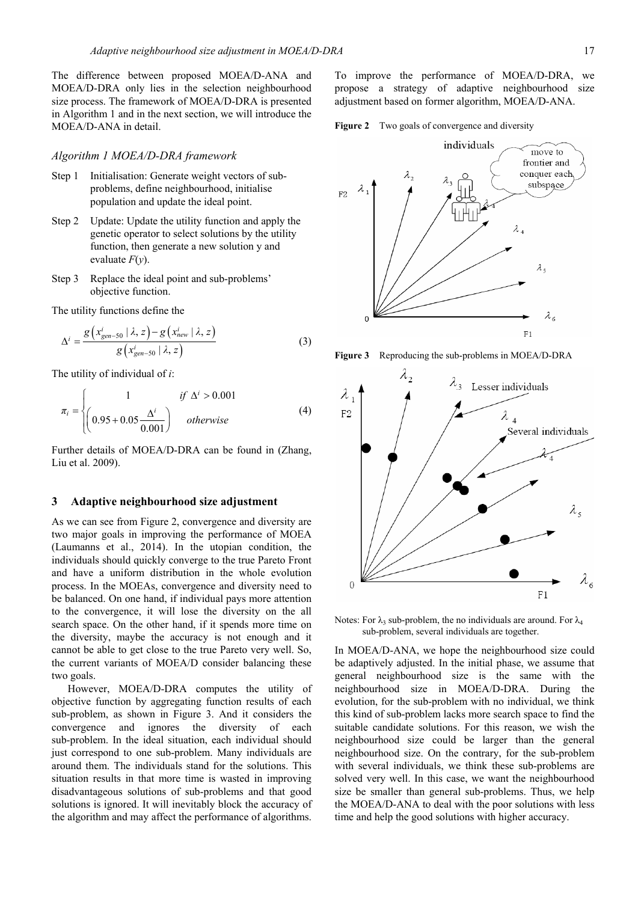The difference between proposed MOEA/D-ANA and MOEA/D-DRA only lies in the selection neighbourhood size process. The framework of MOEA/D-DRA is presented in Algorithm 1 and in the next section, we will introduce the MOEA/D-ANA in detail.

#### *Algorithm 1 MOEA/D-DRA framework*

- Step 1 Initialisation: Generate weight vectors of subproblems, define neighbourhood, initialise population and update the ideal point.
- Step 2 Update: Update the utility function and apply the genetic operator to select solutions by the utility function, then generate a new solution y and evaluate *F*(*y*).
- Step 3 Replace the ideal point and sub-problems' objective function.

The utility functions define the

$$
\Delta^{i} = \frac{g\left(x_{gen-50}^{i} \mid \lambda, z\right) - g\left(x_{new}^{i} \mid \lambda, z\right)}{g\left(x_{gen-50}^{i} \mid \lambda, z\right)}
$$
(3)

The utility of individual of *i*:

$$
\pi_{i} = \begin{cases}\n1 & \text{if } \Delta^{i} > 0.001 \\
\left(0.95 + 0.05 \frac{\Delta^{i}}{0.001}\right) & \text{otherwise}\n\end{cases}
$$
\n(4)

Further details of MOEA/D-DRA can be found in (Zhang, Liu et al. 2009).

## **3 Adaptive neighbourhood size adjustment**

As we can see from Figure 2, convergence and diversity are two major goals in improving the performance of MOEA (Laumanns et al., 2014). In the utopian condition, the individuals should quickly converge to the true Pareto Front and have a uniform distribution in the whole evolution process. In the MOEAs, convergence and diversity need to be balanced. On one hand, if individual pays more attention to the convergence, it will lose the diversity on the all search space. On the other hand, if it spends more time on the diversity, maybe the accuracy is not enough and it cannot be able to get close to the true Pareto very well. So, the current variants of MOEA/D consider balancing these two goals.

However, MOEA/D-DRA computes the utility of objective function by aggregating function results of each sub-problem, as shown in Figure 3. And it considers the convergence and ignores the diversity of each sub-problem. In the ideal situation, each individual should just correspond to one sub-problem. Many individuals are around them. The individuals stand for the solutions. This situation results in that more time is wasted in improving disadvantageous solutions of sub-problems and that good solutions is ignored. It will inevitably block the accuracy of the algorithm and may affect the performance of algorithms.

To improve the performance of MOEA/D-DRA, we propose a strategy of adaptive neighbourhood size adjustment based on former algorithm, MOEA/D-ANA.

Figure 2 Two goals of convergence and diversity



**Figure 3** Reproducing the sub-problems in MOEA/D-DRA



Notes: For  $\lambda_3$  sub-problem, the no individuals are around. For  $\lambda_4$ sub-problem, several individuals are together.

In MOEA/D-ANA, we hope the neighbourhood size could be adaptively adjusted. In the initial phase, we assume that general neighbourhood size is the same with the neighbourhood size in MOEA/D-DRA. During the evolution, for the sub-problem with no individual, we think this kind of sub-problem lacks more search space to find the suitable candidate solutions. For this reason, we wish the neighbourhood size could be larger than the general neighbourhood size. On the contrary, for the sub-problem with several individuals, we think these sub-problems are solved very well. In this case, we want the neighbourhood size be smaller than general sub-problems. Thus, we help the MOEA/D-ANA to deal with the poor solutions with less time and help the good solutions with higher accuracy.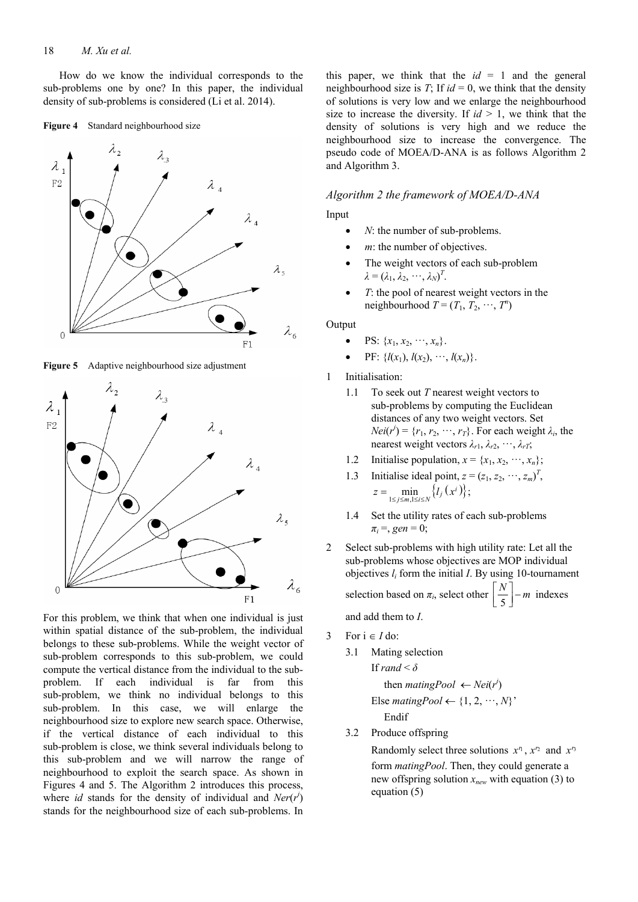How do we know the individual corresponds to the sub-problems one by one? In this paper, the individual density of sub-problems is considered (Li et al. 2014).

#### **Figure 4** Standard neighbourhood size



**Figure 5** Adaptive neighbourhood size adjustment



For this problem, we think that when one individual is just within spatial distance of the sub-problem, the individual belongs to these sub-problems. While the weight vector of sub-problem corresponds to this sub-problem, we could compute the vertical distance from the individual to the subproblem. If each individual is far from this sub-problem, we think no individual belongs to this sub-problem. In this case, we will enlarge the neighbourhood size to explore new search space. Otherwise, if the vertical distance of each individual to this sub-problem is close, we think several individuals belong to this sub-problem and we will narrow the range of neighbourhood to exploit the search space. As shown in Figures 4 and 5. The Algorithm 2 introduces this process, where *id* stands for the density of individual and  $Ner(r^i)$ stands for the neighbourhood size of each sub-problems. In

this paper, we think that the  $id = 1$  and the general neighbourhood size is *T*; If  $id = 0$ , we think that the density of solutions is very low and we enlarge the neighbourhood size to increase the diversity. If  $id \geq 1$ , we think that the density of solutions is very high and we reduce the neighbourhood size to increase the convergence. The pseudo code of MOEA/D-ANA is as follows Algorithm 2 and Algorithm 3.

## *Algorithm 2 the framework of MOEA/D-ANA*

Input

- *N*: the number of sub-problems.
- *m*: the number of objectives.
- The weight vectors of each sub-problem  $\lambda = (\lambda_1, \lambda_2, \cdots, \lambda_N)^T$ .
- *T*: the pool of nearest weight vectors in the neighbourhood  $T = (T_1, T_2, \dots, T^n)$

# Output

- PS:  $\{x_1, x_2, \dots, x_n\}.$
- $PF: \{l(x_1), l(x_2), \cdots, l(x_n)\}.$
- 1 Initialisation:
	- 1.1 To seek out *T* nearest weight vectors to sub-problems by computing the Euclidean distances of any two weight vectors. Set  $Neli(r^i) = \{r_1, r_2, \dots, r_T\}$ . For each weight  $\lambda_i$ , the nearest weight vectors  $\lambda_{r1}, \lambda_{r2}, \dots, \lambda_{rT}$ ;
	- 1.2 Initialise population,  $x = \{x_1, x_2, \dots, x_n\};$
	- 1.3 Initialise ideal point,  $z = (z_1, z_2, \dots, z_m)^T$ ,  $z = \min_{1 \le j \le m, 1 \le i \le N} \{l_j(x^i)\};$
	- 1.4 Set the utility rates of each sub-problems  $\pi_i$  =, *gen* = 0;
- 2 Select sub-problems with high utility rate: Let all the sub-problems whose objectives are MOP individual objectives *li* form the initial *I*. By using 10-tournament selection based on  $\pi_i$ , select other  $\left[\frac{N}{5}\right]$  – *m* indexes

and add them to *I*.

- 3 For  $i \in I$  do:
	- 3.1 Mating selection If  $rand < \delta$ then *matingPool*  $\leftarrow$  *Nei*( $r^i$ ) Else *matingPool*  $\leftarrow$  {1, 2,  $\cdots$ , *N*}' Endif
	- 3.2 Produce offspring

Randomly select three solutions  $x^n$ ,  $x'^2$  and  $x'^3$ form *matingPool*. Then, they could generate a new offspring solution *xnew* with equation (3) to equation (5)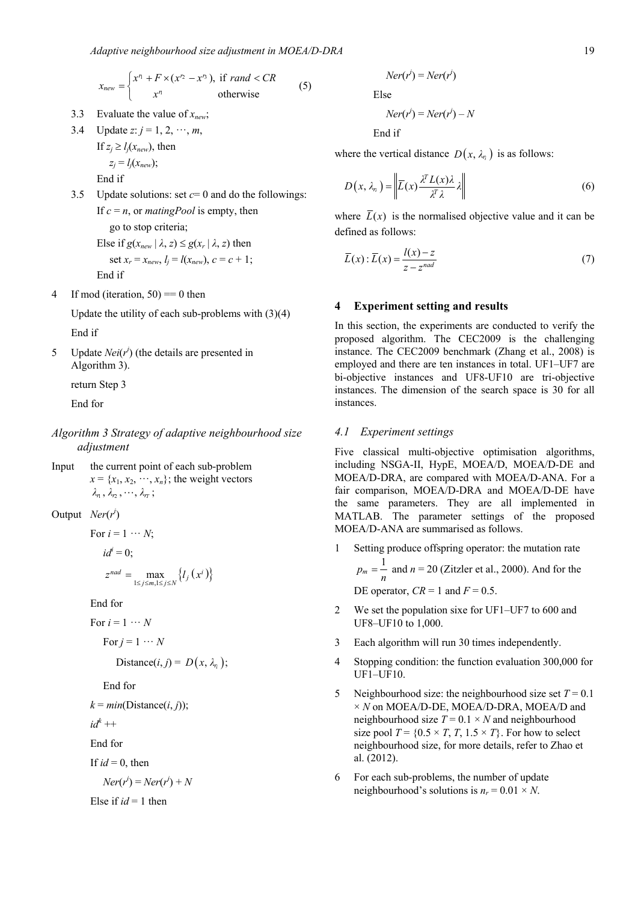$$
x_{new} = \begin{cases} x^n + F \times (x^n - x^n), & \text{if } rand < CR \\ x^n & \text{otherwise} \end{cases} \tag{5}
$$

- 3.3 Evaluate the value of *xnew*;
- 3.4 Update *z*:  $j = 1, 2, \dots, m$ ,

If 
$$
z_j \ge l_j(x_{new})
$$
, then  
\n $z_j = l_j(x_{new})$ ;

End if

3.5 Update solutions: set  $c=0$  and do the followings: If  $c = n$ , or *matingPool* is empty, then go to stop criteria;

Else if 
$$
g(x_{new} | \lambda, z) \leq g(x_r | \lambda, z)
$$
 then  
set  $x_r = x_{new}, l_j = l(x_{new}), c = c + 1;$   
End if

4 If mod (iteration,  $50$ ) = 0 then

Update the utility of each sub-problems with (3)(4) End if

5 Update  $Nei(r^i)$  (the details are presented in Algorithm 3).

return Step 3

End for

- *Algorithm 3 Strategy of adaptive neighbourhood size adjustment*
- Input the current point of each sub-problem  $x = \{x_1, x_2, \dots, x_n\}$ ; the weight vectors  $\lambda_n$ ,  $\lambda_n$ ,  $\cdots$ ,  $\lambda_n$ ;

Output *Ner*( $r^i$ )

For  $i = 1 \cdots N$ ;

 $id^i = 0;$ 

$$
z^{nad} = \max_{1 \le j \le m, 1 \le j \le N} \{l_j(x^i)\}
$$

End for

For 
$$
i = 1 \cdots N
$$

$$
For j = 1 \cdots N
$$

Distance
$$
(i, j) = D(x, \lambda_n);
$$

End for

$$
k = min(Distance(i, j));
$$

$$
id^k++
$$

End for

If 
$$
id = 0
$$
, then

$$
Ner(r^i) = Ner(r^i) + N
$$

Else if  $id = 1$  then

$$
Ner(r^i) = Ner(r^i)
$$

Else

$$
Ner(r^i) = Ner(r^i) - N
$$

End if

where the vertical distance  $D(x, \lambda_n)$  is as follows:

$$
D(x, \lambda_n) = \left\| \overline{L}(x) \frac{\lambda^T L(x) \lambda}{\lambda^T \lambda} \lambda \right\| \tag{6}
$$

where  $\overline{L}(x)$  is the normalised objective value and it can be defined as follows:

$$
\overline{L}(x): \overline{L}(x) = \frac{l(x) - z}{z - z^{nad}}
$$
\n(7)

# **4 Experiment setting and results**

In this section, the experiments are conducted to verify the proposed algorithm. The CEC2009 is the challenging instance. The CEC2009 benchmark (Zhang et al., 2008) is employed and there are ten instances in total. UF1–UF7 are bi-objective instances and UF8-UF10 are tri-objective instances. The dimension of the search space is 30 for all instances.

# *4.1 Experiment settings*

Five classical multi-objective optimisation algorithms, including NSGA-II, HypE, MOEA/D, MOEA/D-DE and MOEA/D-DRA, are compared with MOEA/D-ANA. For a fair comparison, MOEA/D-DRA and MOEA/D-DE have the same parameters. They are all implemented in MATLAB. The parameter settings of the proposed MOEA/D-ANA are summarised as follows.

- 1 Setting produce offspring operator: the mutation rate  $p_m = \frac{1}{n}$  and  $n = 20$  (Zitzler et al., 2000). And for the DE operator,  $CR = 1$  and  $F = 0.5$ .
- 2 We set the population sixe for UF1–UF7 to 600 and UF8–UF10 to 1,000.
- 3 Each algorithm will run 30 times independently.
- 4 Stopping condition: the function evaluation 300,000 for UF1–UF10.
- 5 Neighbourhood size: the neighbourhood size set  $T = 0.1$ × *N* on MOEA/D-DE, MOEA/D-DRA, MOEA/D and neighbourhood size  $T = 0.1 \times N$  and neighbourhood size pool  $T = \{0.5 \times T, T, 1.5 \times T\}$ . For how to select neighbourhood size, for more details, refer to Zhao et al. (2012).
- 6 For each sub-problems, the number of update neighbourhood's solutions is  $n_r = 0.01 \times N$ .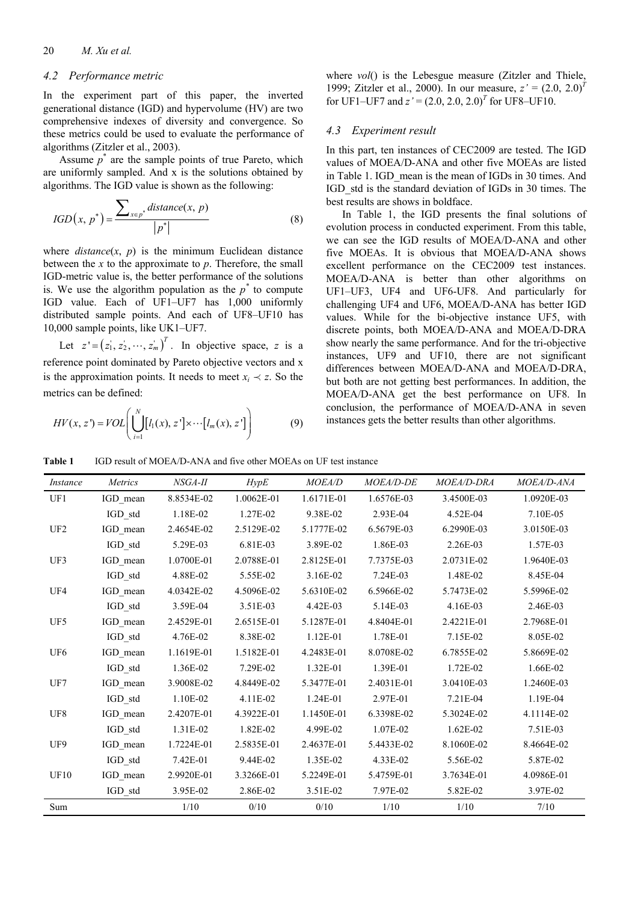# *4.2 Performance metric*

In the experiment part of this paper, the inverted generational distance (IGD) and hypervolume (HV) are two comprehensive indexes of diversity and convergence. So these metrics could be used to evaluate the performance of algorithms (Zitzler et al., 2003).

Assume  $p^*$  are the sample points of true Pareto, which are uniformly sampled. And x is the solutions obtained by algorithms. The IGD value is shown as the following:

$$
IGD(x, p^*) = \frac{\sum_{x \in p^*} distance(x, p)}{|p^*|}
$$
(8)

where  $distance(x, p)$  is the minimum Euclidean distance between the *x* to the approximate to *p*. Therefore, the small IGD-metric value is, the better performance of the solutions is. We use the algorithm population as the  $p^*$  to compute IGD value. Each of UF1–UF7 has 1,000 uniformly distributed sample points. And each of UF8–UF10 has 10,000 sample points, like UK1–UF7.

Let  $z' = (z_1, z_2, \dots, z_m)^T$ . In objective space, *z* is a reference point dominated by Pareto objective vectors and x is the approximation points. It needs to meet  $x_i \prec z$ . So the metrics can be defined:

$$
HV(x,z') = VOL\left(\bigcup_{i=1}^{N} [l_1(x), z'] \times \cdots [l_m(x), z']\right) \tag{9}
$$

where *vol*() is the Lebesgue measure (Zitzler and Thiele, 1999; Zitzler et al., 2000). In our measure, *z'* = (2.0, 2.0)*<sup>T</sup>* for UF1–UF7 and  $z' = (2.0, 2.0, 2.0)^T$  for UF8–UF10.

### *4.3 Experiment result*

In this part, ten instances of CEC2009 are tested. The IGD values of MOEA/D-ANA and other five MOEAs are listed in Table 1. IGD mean is the mean of IGDs in 30 times. And IGD\_std is the standard deviation of IGDs in 30 times. The best results are shows in boldface.

In Table 1, the IGD presents the final solutions of evolution process in conducted experiment. From this table, we can see the IGD results of MOEA/D-ANA and other five MOEAs. It is obvious that MOEA/D-ANA shows excellent performance on the CEC2009 test instances. MOEA/D-ANA is better than other algorithms on UF1–UF3, UF4 and UF6-UF8. And particularly for challenging UF4 and UF6, MOEA/D-ANA has better IGD values. While for the bi-objective instance UF5, with discrete points, both MOEA/D-ANA and MOEA/D-DRA show nearly the same performance. And for the tri-objective instances, UF9 and UF10, there are not significant differences between MOEA/D-ANA and MOEA/D-DRA, but both are not getting best performances. In addition, the MOEA/D-ANA get the best performance on UF8. In conclusion, the performance of MOEA/D-ANA in seven instances gets the better results than other algorithms.

**Table 1** IGD result of MOEA/D-ANA and five other MOEAs on UF test instance

| <i>Instance</i> | <b>Metrics</b> | NSGA-II    | HypE       | <i>MOEA/D</i> | <b>MOEA/D-DE</b> | MOEA/D-DRA | MOEA/D-ANA |
|-----------------|----------------|------------|------------|---------------|------------------|------------|------------|
| UF1             | IGD mean       | 8.8534E-02 | 1.0062E-01 | 1.6171E-01    | 1.6576E-03       | 3.4500E-03 | 1.0920E-03 |
|                 | IGD std        | 1.18E-02   | 1.27E-02   | 9.38E-02      | 2.93E-04         | 4.52E-04   | 7.10E-05   |
| UF <sub>2</sub> | IGD mean       | 2.4654E-02 | 2.5129E-02 | 5.1777E-02    | 6.5679E-03       | 6.2990E-03 | 3.0150E-03 |
|                 | IGD std        | 5.29E-03   | 6.81E-03   | 3.89E-02      | 1.86E-03         | 2.26E-03   | 1.57E-03   |
| UF3             | IGD mean       | 1.0700E-01 | 2.0788E-01 | 2.8125E-01    | 7.7375E-03       | 2.0731E-02 | 1.9640E-03 |
|                 | IGD std        | 4.88E-02   | 5.55E-02   | 3.16E-02      | 7.24E-03         | 1.48E-02   | 8.45E-04   |
| UF4             | IGD mean       | 4.0342E-02 | 4.5096E-02 | 5.6310E-02    | 6.5966E-02       | 5.7473E-02 | 5.5996E-02 |
|                 | IGD std        | 3.59E-04   | 3.51E-03   | 4.42E-03      | 5.14E-03         | 4.16E-03   | 2.46E-03   |
| UF5             | IGD_mean       | 2.4529E-01 | 2.6515E-01 | 5.1287E-01    | 4.8404E-01       | 2.4221E-01 | 2.7968E-01 |
|                 | IGD std        | 4.76E-02   | 8.38E-02   | 1.12E-01      | 1.78E-01         | 7.15E-02   | 8.05E-02   |
| UF <sub>6</sub> | IGD mean       | 1.1619E-01 | 1.5182E-01 | 4.2483E-01    | 8.0708E-02       | 6.7855E-02 | 5.8669E-02 |
|                 | IGD std        | 1.36E-02   | 7.29E-02   | 1.32E-01      | 1.39E-01         | 1.72E-02   | 1.66E-02   |
| UF7             | IGD mean       | 3.9008E-02 | 4.8449E-02 | 5.3477E-01    | 2.4031E-01       | 3.0410E-03 | 1.2460E-03 |
|                 | IGD std        | 1.10E-02   | 4.11E-02   | 1.24E-01      | 2.97E-01         | 7.21E-04   | 1.19E-04   |
| UF <sub>8</sub> | IGD mean       | 2.4207E-01 | 4.3922E-01 | 1.1450E-01    | 6.3398E-02       | 5.3024E-02 | 4.1114E-02 |
|                 | IGD std        | 1.31E-02   | 1.82E-02   | 4.99E-02      | 1.07E-02         | $1.62E-02$ | 7.51E-03   |
| UF9             | IGD mean       | 1.7224E-01 | 2.5835E-01 | 2.4637E-01    | 5.4433E-02       | 8.1060E-02 | 8.4664E-02 |
|                 | IGD std        | 7.42E-01   | 9.44E-02   | 1.35E-02      | 4.33E-02         | 5.56E-02   | 5.87E-02   |
| UF10            | IGD_mean       | 2.9920E-01 | 3.3266E-01 | 5.2249E-01    | 5.4759E-01       | 3.7634E-01 | 4.0986E-01 |
|                 | IGD_std        | 3.95E-02   | 2.86E-02   | 3.51E-02      | 7.97E-02         | 5.82E-02   | 3.97E-02   |
| Sum             |                | 1/10       | 0/10       | 0/10          | 1/10             | 1/10       | 7/10       |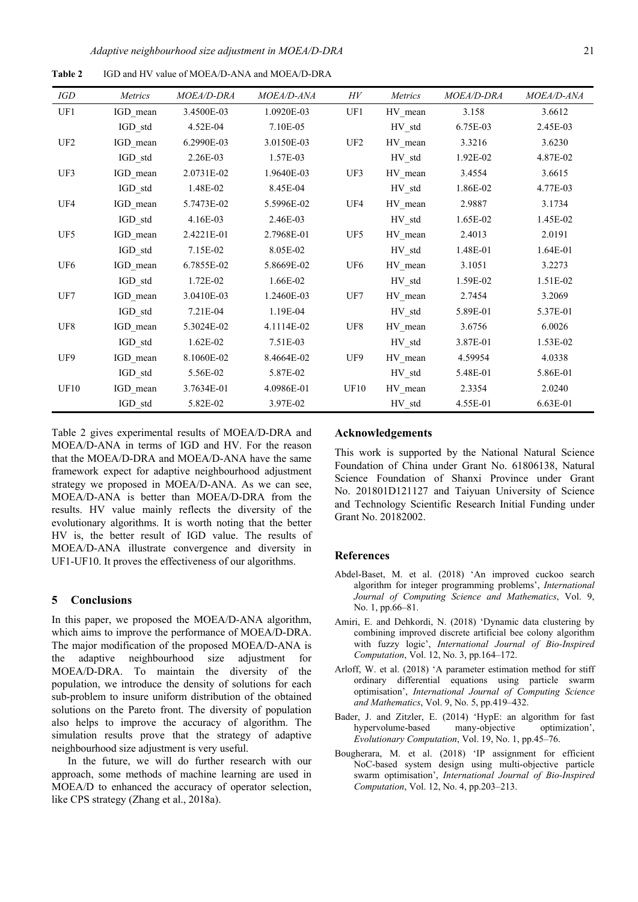**Table 2** IGD and HV value of MOEA/D-ANA and MOEA/D-DRA

| IGD             | <i>Metrics</i> | <i>MOEA/D-DRA</i> | MOEA/D-ANA | H V                                             | <i>Metrics</i> | MOEA/D-DRA | MOEA/D-ANA |
|-----------------|----------------|-------------------|------------|-------------------------------------------------|----------------|------------|------------|
| UF1             | IGD mean       | 3.4500E-03        | 1.0920E-03 | UF1                                             | HV mean        | 3.158      | 3.6612     |
|                 | IGD std        | 4.52E-04          | 7.10E-05   |                                                 | HV std         | 6.75E-03   | 2.45E-03   |
| UF <sub>2</sub> | IGD mean       | 6.2990E-03        | 3.0150E-03 | UF <sub>2</sub>                                 | HV mean        | 3.3216     | 3.6230     |
|                 | IGD std        | 2.26E-03          | 1.57E-03   |                                                 | HV std         | 1.92E-02   | 4.87E-02   |
| UF3             | IGD mean       | 2.0731E-02        | 1.9640E-03 | UF3                                             | HV mean        | 3.4554     | 3.6615     |
|                 | IGD std        | 1.48E-02          | 8.45E-04   |                                                 | HV std         | 1.86E-02   | 4.77E-03   |
| UF4             | IGD mean       | 5.7473E-02        | 5.5996E-02 | UF4                                             | HV mean        | 2.9887     | 3.1734     |
|                 | IGD std        | 4.16E-03          | 2.46E-03   |                                                 | HV std         | 1.65E-02   | 1.45E-02   |
| UF5             | IGD mean       | 2.4221E-01        | 2.7968E-01 | UF5                                             | HV mean        | 2.4013     | 2.0191     |
|                 | IGD std        | 7.15E-02          | 8.05E-02   |                                                 | HV std         | 1.48E-01   | 1.64E-01   |
| UF <sub>6</sub> | IGD mean       | 6.7855E-02        | 5.8669E-02 | UF <sub>6</sub>                                 | HV mean        | 3.1051     | 3.2273     |
|                 | IGD std        | 1.72E-02          | 1.66E-02   |                                                 | HV std         | 1.59E-02   | 1.51E-02   |
| UF7             | IGD mean       | 3.0410E-03        | 1.2460E-03 | UF7                                             | HV mean        | 2.7454     | 3.2069     |
|                 | IGD std        | 7.21E-04          | 1.19E-04   |                                                 | HV std         | 5.89E-01   | 5.37E-01   |
| UF <sub>8</sub> | IGD mean       | 5.3024E-02        | 4.1114E-02 | $\ensuremath{\mathrm{U} \mathrm{F} \mathrm{8}}$ | HV mean        | 3.6756     | 6.0026     |
|                 | IGD std        | 1.62E-02          | 7.51E-03   |                                                 | HV std         | 3.87E-01   | 1.53E-02   |
| UF9             | IGD mean       | 8.1060E-02        | 8.4664E-02 | UF9                                             | HV mean        | 4.59954    | 4.0338     |
|                 | IGD std        | 5.56E-02          | 5.87E-02   |                                                 | HV std         | 5.48E-01   | 5.86E-01   |
| <b>UF10</b>     | IGD mean       | 3.7634E-01        | 4.0986E-01 | UF10                                            | HV mean        | 2.3354     | 2.0240     |
|                 | IGD_std        | 5.82E-02          | 3.97E-02   |                                                 | $HV\_std$      | 4.55E-01   | 6.63E-01   |

Table 2 gives experimental results of MOEA/D-DRA and MOEA/D-ANA in terms of IGD and HV. For the reason that the MOEA/D-DRA and MOEA/D-ANA have the same framework expect for adaptive neighbourhood adjustment strategy we proposed in MOEA/D-ANA. As we can see, MOEA/D-ANA is better than MOEA/D-DRA from the results. HV value mainly reflects the diversity of the evolutionary algorithms. It is worth noting that the better HV is, the better result of IGD value. The results of MOEA/D-ANA illustrate convergence and diversity in UF1-UF10. It proves the effectiveness of our algorithms.

#### **5 Conclusions**

In this paper, we proposed the MOEA/D-ANA algorithm, which aims to improve the performance of MOEA/D-DRA. The major modification of the proposed MOEA/D-ANA is the adaptive neighbourhood size adjustment for MOEA/D-DRA. To maintain the diversity of the population, we introduce the density of solutions for each sub-problem to insure uniform distribution of the obtained solutions on the Pareto front. The diversity of population also helps to improve the accuracy of algorithm. The simulation results prove that the strategy of adaptive neighbourhood size adjustment is very useful.

In the future, we will do further research with our approach, some methods of machine learning are used in MOEA/D to enhanced the accuracy of operator selection, like CPS strategy (Zhang et al., 2018a).

### **Acknowledgements**

This work is supported by the National Natural Science Foundation of China under Grant No. 61806138, Natural Science Foundation of Shanxi Province under Grant No. 201801D121127 and Taiyuan University of Science and Technology Scientific Research Initial Funding under Grant No. 20182002.

## **References**

- Abdel-Baset, M. et al. (2018) 'An improved cuckoo search algorithm for integer programming problems', *International Journal of Computing Science and Mathematics*, Vol. 9, No. 1, pp.66–81.
- Amiri, E. and Dehkordi, N. (2018) 'Dynamic data clustering by combining improved discrete artificial bee colony algorithm with fuzzy logic', *International Journal of Bio-Inspired Computation*, Vol. 12, No. 3, pp.164–172.
- Arloff, W. et al. (2018) 'A parameter estimation method for stiff ordinary differential equations using particle swarm optimisation', *International Journal of Computing Science and Mathematics*, Vol. 9, No. 5, pp.419–432.
- Bader, J. and Zitzler, E. (2014) 'HypE: an algorithm for fast hypervolume-based many-objective optimization', *Evolutionary Computation*, Vol. 19, No. 1, pp.45–76.
- Bougherara, M. et al. (2018) 'IP assignment for efficient NoC-based system design using multi-objective particle swarm optimisation', *International Journal of Bio-Inspired Computation*, Vol. 12, No. 4, pp.203–213.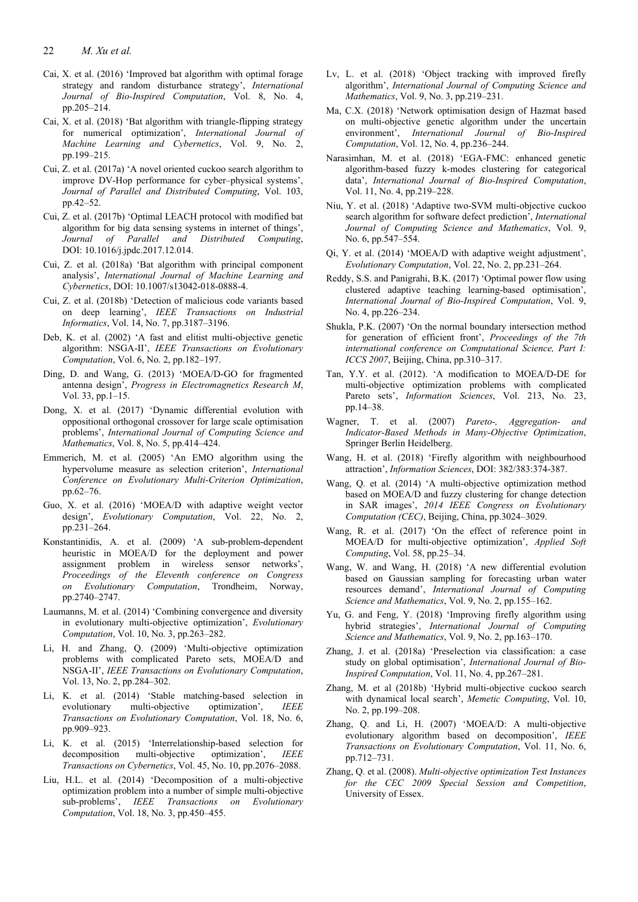22 *M. Xu et al.*

- Cai, X. et al. (2016) 'Improved bat algorithm with optimal forage strategy and random disturbance strategy', *International Journal of Bio-Inspired Computation*, Vol. 8, No. 4, pp.205–214.
- Cai, X. et al. (2018) 'Bat algorithm with triangle-flipping strategy for numerical optimization', *International Journal of Machine Learning and Cybernetics*, Vol. 9, No. 2, pp.199–215.
- Cui, Z. et al. (2017a) 'A novel oriented cuckoo search algorithm to improve DV-Hop performance for cyber–physical systems', *Journal of Parallel and Distributed Computing*, Vol. 103, pp.42–52.
- Cui, Z. et al. (2017b) 'Optimal LEACH protocol with modified bat algorithm for big data sensing systems in internet of things', *Journal of Parallel and Distributed Computing*, DOI: 10.1016/j.jpdc.2017.12.014.
- Cui, Z. et al. (2018a) 'Bat algorithm with principal component analysis', *International Journal of Machine Learning and Cybernetics*, DOI: 10.1007/s13042-018-0888-4.
- Cui, Z. et al. (2018b) 'Detection of malicious code variants based on deep learning', *IEEE Transactions on Industrial Informatics*, Vol. 14, No. 7, pp.3187–3196.
- Deb, K. et al. (2002) 'A fast and elitist multi-objective genetic algorithm: NSGA-II', *IEEE Transactions on Evolutionary Computation*, Vol. 6, No. 2, pp.182–197.
- Ding, D. and Wang, G. (2013) 'MOEA/D-GO for fragmented antenna design', *Progress in Electromagnetics Research M*, Vol. 33, pp.1–15.
- Dong, X. et al. (2017) 'Dynamic differential evolution with oppositional orthogonal crossover for large scale optimisation problems', *International Journal of Computing Science and Mathematics*, Vol. 8, No. 5, pp.414–424.
- Emmerich, M. et al. (2005) 'An EMO algorithm using the hypervolume measure as selection criterion', *International Conference on Evolutionary Multi-Criterion Optimization*, pp.62–76.
- Guo, X. et al. (2016) 'MOEA/D with adaptive weight vector design', *Evolutionary Computation*, Vol. 22, No. 2, pp.231–264.
- Konstantinidis, A. et al. (2009) 'A sub-problem-dependent heuristic in MOEA/D for the deployment and power assignment problem in wireless sensor networks', *Proceedings of the Eleventh conference on Congress on Evolutionary Computation*, Trondheim, Norway, pp.2740–2747.
- Laumanns, M. et al. (2014) 'Combining convergence and diversity in evolutionary multi-objective optimization', *Evolutionary Computation*, Vol. 10, No. 3, pp.263–282.
- Li, H. and Zhang, Q. (2009) 'Multi-objective optimization problems with complicated Pareto sets, MOEA/D and NSGA-II', *IEEE Transactions on Evolutionary Computation*, Vol. 13, No. 2, pp.284–302.
- Li, K. et al. (2014) 'Stable matching-based selection in evolutionary multi-objective optimization', *IEEE Transactions on Evolutionary Computation*, Vol. 18, No. 6, pp.909–923.
- Li, K. et al. (2015) 'Interrelationship-based selection for decomposition multi-objective optimization', *IEEE Transactions on Cybernetics*, Vol. 45, No. 10, pp.2076–2088.
- Liu, H.L. et al. (2014) 'Decomposition of a multi-objective optimization problem into a number of simple multi-objective sub-problems', *IEEE Transactions on Evolutionary Computation*, Vol. 18, No. 3, pp.450–455.
- Lv, L. et al. (2018) 'Object tracking with improved firefly algorithm', *International Journal of Computing Science and Mathematics*, Vol. 9, No. 3, pp.219–231.
- Ma, C.X. (2018) 'Network optimisation design of Hazmat based on multi-objective genetic algorithm under the uncertain environment', *International Journal of Bio-Inspired Computation*, Vol. 12, No. 4, pp.236–244.
- Narasimhan, M. et al. (2018) 'EGA-FMC: enhanced genetic algorithm-based fuzzy k-modes clustering for categorical data', *International Journal of Bio-Inspired Computation*, Vol. 11, No. 4, pp.219–228.
- Niu, Y. et al. (2018) 'Adaptive two-SVM multi-objective cuckoo search algorithm for software defect prediction', *International Journal of Computing Science and Mathematics*, Vol. 9, No. 6, pp.547–554.
- Qi, Y. et al. (2014) 'MOEA/D with adaptive weight adjustment', *Evolutionary Computation*, Vol. 22, No. 2, pp.231–264.
- Reddy, S.S. and Panigrahi, B.K. (2017) 'Optimal power flow using clustered adaptive teaching learning-based optimisation', *International Journal of Bio-Inspired Computation*, Vol. 9, No. 4, pp.226–234.
- Shukla, P.K. (2007) 'On the normal boundary intersection method for generation of efficient front', *Proceedings of the 7th international conference on Computational Science, Part I: ICCS 2007*, Beijing, China, pp.310–317.
- Tan, Y.Y. et al. (2012). 'A modification to MOEA/D-DE for multi-objective optimization problems with complicated Pareto sets', *Information Sciences*, Vol. 213, No. 23, pp.14–38.
- Wagner, T. et al. (2007) *Pareto-, Aggregation- and Indicator-Based Methods in Many-Objective Optimization*, Springer Berlin Heidelberg.
- Wang, H. et al. (2018) 'Firefly algorithm with neighbourhood attraction', *Information Sciences*, DOI: 382/383:374-387.
- Wang, Q. et al. (2014) 'A multi-objective optimization method based on MOEA/D and fuzzy clustering for change detection in SAR images', *2014 IEEE Congress on Evolutionary Computation (CEC)*, Beijing, China, pp.3024–3029.
- Wang, R. et al. (2017) 'On the effect of reference point in MOEA/D for multi-objective optimization', *Applied Soft Computing*, Vol. 58, pp.25–34.
- Wang, W. and Wang, H. (2018) 'A new differential evolution based on Gaussian sampling for forecasting urban water resources demand', *International Journal of Computing Science and Mathematics*, Vol. 9, No. 2, pp.155–162.
- Yu, G. and Feng, Y. (2018) 'Improving firefly algorithm using hybrid strategies', *International Journal of Computing Science and Mathematics*, Vol. 9, No. 2, pp.163–170.
- Zhang, J. et al. (2018a) 'Preselection via classification: a case study on global optimisation', *International Journal of Bio-Inspired Computation*, Vol. 11, No. 4, pp.267–281.
- Zhang, M. et al (2018b) 'Hybrid multi-objective cuckoo search with dynamical local search', *Memetic Computing*, Vol. 10, No. 2, pp.199–208.
- Zhang, Q. and Li, H. (2007) 'MOEA/D: A multi-objective evolutionary algorithm based on decomposition', *IEEE Transactions on Evolutionary Computation*, Vol. 11, No. 6, pp.712–731.
- Zhang, Q. et al. (2008). *Multi-objective optimization Test Instances for the CEC 2009 Special Session and Competition*, University of Essex.